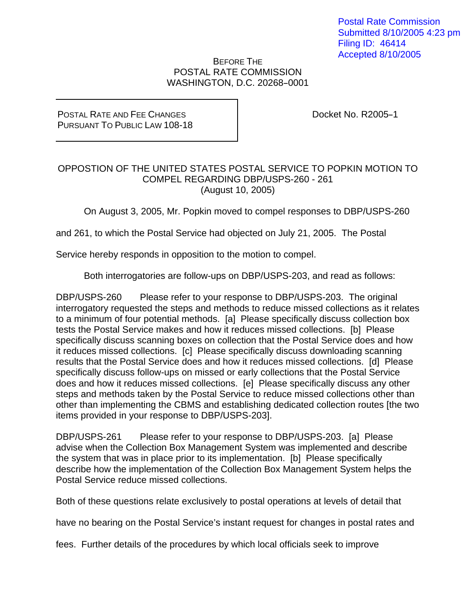## BEFORE THE POSTAL RATE COMMISSION WASHINGTON, D.C. 20268-0001

## POSTAL RATE AND FEE CHANGES PURSUANT TO PUBLIC LAW 108-18

Docket No. R2005-1

## OPPOSTION OF THE UNITED STATES POSTAL SERVICE TO POPKIN MOTION TO COMPEL REGARDING DBP/USPS-260 - 261 (August 10, 2005)

On August 3, 2005, Mr. Popkin moved to compel responses to DBP/USPS-260

and 261, to which the Postal Service had objected on July 21, 2005. The Postal

Service hereby responds in opposition to the motion to compel.

Both interrogatories are follow-ups on DBP/USPS-203, and read as follows:

DBP/USPS-260 Please refer to your response to DBP/USPS-203. The original interrogatory requested the steps and methods to reduce missed collections as it relates to a minimum of four potential methods. [a] Please specifically discuss collection box tests the Postal Service makes and how it reduces missed collections. [b] Please specifically discuss scanning boxes on collection that the Postal Service does and how it reduces missed collections. [c] Please specifically discuss downloading scanning results that the Postal Service does and how it reduces missed collections. [d] Please specifically discuss follow-ups on missed or early collections that the Postal Service does and how it reduces missed collections. [e] Please specifically discuss any other steps and methods taken by the Postal Service to reduce missed collections other than other than implementing the CBMS and establishing dedicated collection routes [the two items provided in your response to DBP/USPS-203].

DBP/USPS-261 Please refer to your response to DBP/USPS-203. [a] Please advise when the Collection Box Management System was implemented and describe the system that was in place prior to its implementation. [b] Please specifically describe how the implementation of the Collection Box Management System helps the Postal Service reduce missed collections.

Both of these questions relate exclusively to postal operations at levels of detail that

have no bearing on the Postal Service's instant request for changes in postal rates and

fees. Further details of the procedures by which local officials seek to improve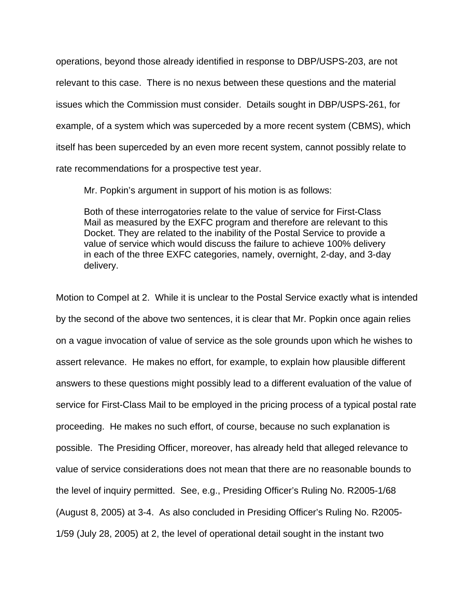operations, beyond those already identified in response to DBP/USPS-203, are not relevant to this case. There is no nexus between these questions and the material issues which the Commission must consider. Details sought in DBP/USPS-261, for example, of a system which was superceded by a more recent system (CBMS), which itself has been superceded by an even more recent system, cannot possibly relate to rate recommendations for a prospective test year.

Mr. Popkin's argument in support of his motion is as follows:

Both of these interrogatories relate to the value of service for First-Class Mail as measured by the EXFC program and therefore are relevant to this Docket. They are related to the inability of the Postal Service to provide a value of service which would discuss the failure to achieve 100% delivery in each of the three EXFC categories, namely, overnight, 2-day, and 3-day delivery.

Motion to Compel at 2. While it is unclear to the Postal Service exactly what is intended by the second of the above two sentences, it is clear that Mr. Popkin once again relies on a vague invocation of value of service as the sole grounds upon which he wishes to assert relevance. He makes no effort, for example, to explain how plausible different answers to these questions might possibly lead to a different evaluation of the value of service for First-Class Mail to be employed in the pricing process of a typical postal rate proceeding. He makes no such effort, of course, because no such explanation is possible. The Presiding Officer, moreover, has already held that alleged relevance to value of service considerations does not mean that there are no reasonable bounds to the level of inquiry permitted. See, e.g., Presiding Officer's Ruling No. R2005-1/68 (August 8, 2005) at 3-4. As also concluded in Presiding Officer's Ruling No. R2005- 1/59 (July 28, 2005) at 2, the level of operational detail sought in the instant two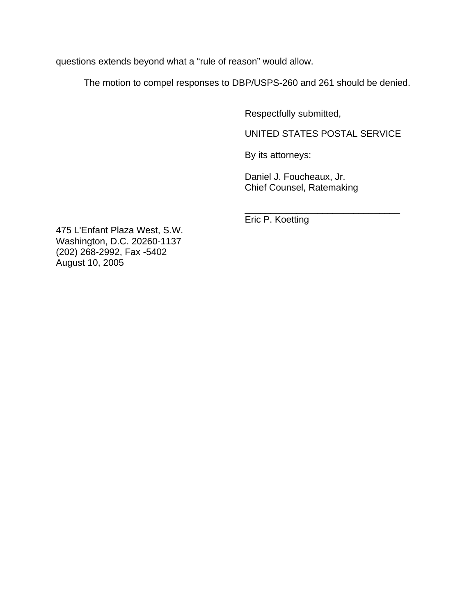questions extends beyond what a "rule of reason" would allow.

The motion to compel responses to DBP/USPS-260 and 261 should be denied.

 $\frac{1}{\sqrt{2\pi}}$  ,  $\frac{1}{\sqrt{2\pi}}$  ,  $\frac{1}{\sqrt{2\pi}}$  ,  $\frac{1}{\sqrt{2\pi}}$  ,  $\frac{1}{\sqrt{2\pi}}$  ,  $\frac{1}{\sqrt{2\pi}}$  ,  $\frac{1}{\sqrt{2\pi}}$  ,  $\frac{1}{\sqrt{2\pi}}$  ,  $\frac{1}{\sqrt{2\pi}}$  ,  $\frac{1}{\sqrt{2\pi}}$  ,  $\frac{1}{\sqrt{2\pi}}$  ,  $\frac{1}{\sqrt{2\pi}}$  ,  $\frac{1}{\sqrt{2\pi}}$  ,

Respectfully submitted,

UNITED STATES POSTAL SERVICE

By its attorneys:

 Daniel J. Foucheaux, Jr. Chief Counsel, Ratemaking

Eric P. Koetting

475 L'Enfant Plaza West, S.W. Washington, D.C. 20260-1137 (202) 268-2992, Fax -5402 August 10, 2005